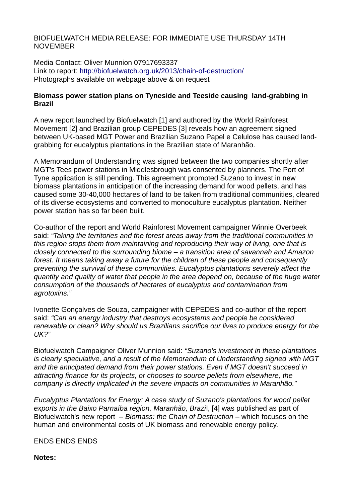BIOFUELWATCH MEDIA RELEASE: FOR IMMEDIATE USE THURSDAY 14TH NOVEMBER

Media Contact: Oliver Munnion 07917693337 Link to report:<http://biofuelwatch.org.uk/2013/chain-of-destruction/> Photographs available on webpage above & on request

## **Biomass power station plans on Tyneside and Teeside causing land-grabbing in Brazil**

A new report launched by Biofuelwatch [1] and authored by the World Rainforest Movement [2] and Brazilian group CEPEDES [3] reveals how an agreement signed between UK-based MGT Power and Brazilian Suzano Papel e Celulose has caused landgrabbing for eucalyptus plantations in the Brazilian state of Maranhão.

A Memorandum of Understanding was signed between the two companies shortly after MGT's Tees power stations in Middlesbrough was consented by planners. The Port of Tyne application is still pending. This agreement prompted Suzano to invest in new biomass plantations in anticipation of the increasing demand for wood pellets, and has caused some 30-40,000 hectares of land to be taken from traditional communities, cleared of its diverse ecosystems and converted to monoculture eucalyptus plantation. Neither power station has so far been built.

Co-author of the report and World Rainforest Movement campaigner Winnie Overbeek said: *"Taking the territories and the forest areas away from the traditional communities in this region stops them from maintaining and reproducing their way of living, one that is closely connected to the surrounding biome – a transition area of savannah and Amazon forest. It means taking away a future for the children of these people and consequently preventing the survival of these communities. Eucalyptus plantations severely affect the quantity and quality of water that people in the area depend on, because of the huge water consumption of the thousands of hectares of eucalyptus and contamination from agrotoxins."*

Ivonette Gonçalves de Souza, campaigner with CEPEDES and co-author of the report said: *"Can an energy industry that destroys ecosystems and people be considered renewable or clean? Why should us Brazilians sacrifice our lives to produce energy for the UK?"*

Biofuelwatch Campaigner Oliver Munnion said: *"Suzano's investment in these plantations is clearly speculative, and a result of the Memorandum of Understanding signed with MGT and the anticipated demand from their power stations. Even if MGT doesn't succeed in attracting finance for its projects, or chooses to source pellets from elsewhere, the company is directly implicated in the severe impacts on communities in Maranhão."*

*Eucalyptus Plantations for Energy: A case study of Suzano's plantations for wood pellet exports in the Baixo Parnaíba region, Maranhão, Brazi*l, [4] was published as part of Biofuelwatch's new report – *Biomass: the Chain of Destruction* – which focuses on the human and environmental costs of UK biomass and renewable energy policy.

ENDS ENDS ENDS

**Notes:**